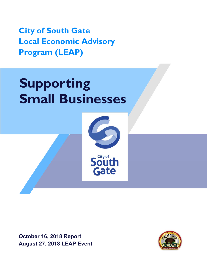**City of South Gate Local Economic Advisory Program (LEAP)** 

# **Supporting Small Businesses**



**October 16, 2018 Report August 27, 2018 LEAP Event** 

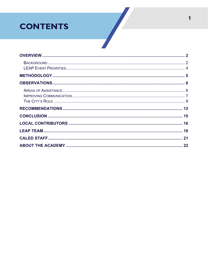# **CONTENTS**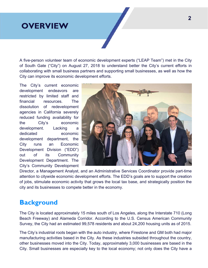## **OVERVIEW**

A five-person volunteer team of economic development experts ("LEAP Team") met in the City of South Gate ("City") on August 27, 2018 to understand better the City's current efforts in collaborating with small business partners and supporting small businesses, as well as how the City can improve its economic development efforts.

The City's current economic development endeavors are restricted by limited staff and financial resources. The dissolution of redevelopment agencies in California severely reduced funding availability for the City's economic development. Lacking a dedicated economic development department, the City runs an Economic Development Division ("EDD") out of its Community Development Department. The City's Community Development



Director, a Management Analyst, and an Administrative Services Coordinator provide part-time attention to citywide economic development efforts. The EDD's goals are to support the creation of jobs, stimulate economic activity that grows the local tax base, and strategically position the city and its businesses to compete better in the economy.

## **Background**

The City is located approximately 15 miles south of Los Angeles, along the Interstate 710 (Long Beach Freeway) and Alameda Corridor. According to the U.S. Census American Community Survey, the City had an estimated 99,578 residents and about 24,200 housing units as of 2015.

The City's industrial roots began with the auto industry, where Firestone and GM both had major manufacturing activities based in the City. As these industries subsided throughout the country, other businesses moved into the City. Today, approximately 3,000 businesses are based in the City. Small businesses are especially key to the local economy; not only does the City have a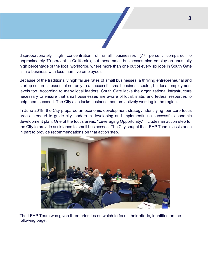

disproportionately high concentration of small businesses (77 percent compared to approximately 70 percent in California), but these small businesses also employ an unusually high percentage of the local workforce, where more than one out of every six jobs in South Gate is in a business with less than five employees.

Because of the traditionally high failure rates of small businesses, a thriving entrepreneurial and startup culture is essential not only to a successful small business sector, but local employment levels too. According to many local leaders, South Gate lacks the organizational infrastructure necessary to ensure that small businesses are aware of local, state, and federal resources to help them succeed. The City also lacks business mentors actively working in the region.

In June 2018, the City prepared an economic development strategy, identifying four core focus areas intended to guide city leaders in developing and implementing a successful economic development plan. One of the focus areas, "Leveraging Opportunity," includes an action step for the City to provide assistance to small businesses. The City sought the LEAP Team's assistance in part to provide recommendations on that action step.



The LEAP Team was given three priorities on which to focus their efforts, identified on the following page.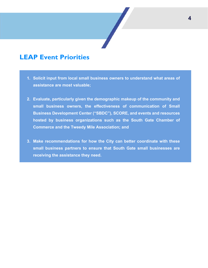## **LEAP Event Priorities**

- **1. Solicit input from local small business owners to understand what areas of assistance are most valuable;**
- **2. Evaluate, particularly given the demographic makeup of the community and small business owners, the effectiveness of communication of Small Business Development Center ("SBDC"), SCORE, and events and resources hosted by business organizations such as the South Gate Chamber of Commerce and the Tweedy Mile Association; and**
- **3. Make recommendations for how the City can better coordinate with these small business partners to ensure that South Gate small businesses are receiving the assistance they need.**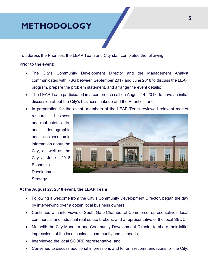# **METHODOLOGY**

To address the Priorities, the LEAP Team and City staff completed the following:

#### **Prior to the event:**

- The City's Community Development Director and the Management Analyst communicated with RSG between September 2017 and June 2018 to discuss the LEAP program, prepare the problem statement, and arrange the event details;
- The LEAP Team participated in a conference call on August 14, 2018, to have an initial discussion about the City's business makeup and the Priorities; and
- In preparation for the event, members of the LEAP Team reviewed relevant market
	- research, business and real estate data, and demographic and socioeconomic information about the City, as well as the City's June 2018 Economic **Development** Strategy.



#### **At the August 27, 2018 event, the LEAP Team:**

- Following a welcome from the City's Community Development Director, began the day by interviewing over a dozen local business owners;
- Continued with interviews of South Gate Chamber of Commerce representatives, local commercial and industrial real estate brokers, and a representative of the local SBDC;
- Met with the City Manager and Community Development Director to share their initial impressions of the local business community and its needs;
- Interviewed the local SCORE representative; and
- Convened to discuss additional impressions and to form recommendations for the City.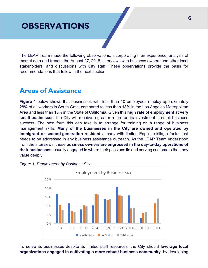# **OBSERVATIONS**

The LEAP Team made the following observations, incorporating their experience, analysis of market data and trends, the August 27, 2018, interviews with business owners and other local stakeholders, and discussions with City staff. These observations provide the basis for recommendations that follow in the next section.

## **Areas of Assistance**

**Figure 1** below shows that businesses with less than 10 employees employ approximately 28% of all workers in South Gate, compared to less than 18% in the Los Angeles Metropolitan Area and less than 15% in the State of California. Given this **high rate of employment at very small businesses**, the City will receive a greater return on its investment in small business success. The best form this can take is to arrange for training on a range of business management skills. **Many of the businesses in the City are owned and operated by immigrant or second-generation residents**, many with limited English skills, a factor that needs to be addressed in any business assistance outreach. As the LEAP Team understood from the interviews, these **business owners are engrossed in the day-to-day operations of their businesses**, usually engaged in where their passions lie and serving customers that they value deeply.



*Figure 1. Employment by Business Size* 

To serve its businesses despite its limited staff resources, the City should **leverage local organizations engaged in cultivating a more robust business community**, by developing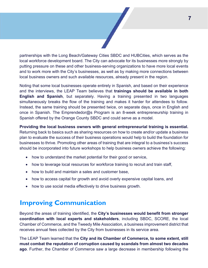partnerships with the Long Beach/Gateway Cities SBDC and HUBCities, which serves as the local workforce development board. The City can advocate for its businesses more strongly by putting pressure on these and other business-serving organizations to have more local events and to work more with the City's businesses, as well as by making more connections between local business owners and such available resources, already present in the region.

Noting that some local businesses operate entirely in Spanish, and based on their experience and the interviews, the LEAP Team believes that **trainings should be available in both English and Spanish**, but separately. Having a training presented in two languages simultaneously breaks the flow of the training and makes it harder for attendees to follow. Instead, the same training should be presented twice, on separate days, once in English and once in Spanish. The Emprendedor@s Program is an 8-week entrepreneurship training in Spanish offered by the Orange County SBDC and could serve as a model.

**Providing the local business owners with general entrepreneurial training is essential.**  Returning back to basics such as sharing resources on how to create and/or update a business plan to evaluate the success of their business operations would help to build the foundation for businesses to thrive. Promoting other areas of training that are integral to a business's success should be incorporated into future workshops to help business owners achieve the following:

- how to understand the market potential for their good or service,
- how to leverage local resources for workforce training to recruit and train staff,
- how to build and maintain a sales and customer base.
- how to access capital for growth and avoid overly expensive capital loans, and
- how to use social media effectively to drive business growth.

## **Improving Communication**

Beyond the areas of training identified, the **City's businesses would benefit from stronger coordination with local experts and stakeholders**, including SBDC, SCORE, the local Chamber of Commerce, and the Tweedy Mile Association, a business improvement district that receives annual fees collected by the City from businesses in its service area.

The LEAP Team learned that the **City and its Chamber of Commerce, to some extent, still must combat the reputation of corruption caused by scandals from almost two decades ago**. Further, the Chamber of Commerce saw a large decrease in membership following the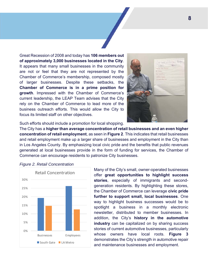Great Recession of 2008 and today has **106 members out of approximately 3,000 businesses located in the City**. It appears that many small businesses in the community are not or feel that they are not represented by the Chamber of Commerce's membership, composed mostly of larger businesses. Despite these setbacks, the **Chamber of Commerce is in a prime position for growth**. Impressed with the Chamber of Commerce's current leadership, the LEAP Team advises that the City rely on the Chamber of Commerce to lead more of the business outreach efforts. This would allow the City to focus its limited staff on other objectives.



Such efforts should include a promotion for local shopping.

The City has a **higher than average concentration of retail businesses and an even higher concentration of retail employment**, as seen in **Figure 2**. This indicates that retail businesses and retail employment make up a larger share of businesses and employment in the City than in Los Angeles County. By emphasizing local civic pride and the benefits that public revenues generated at local businesses provide in the form of funding for services, the Chamber of Commerce can encourage residents to patronize City businesses.



*Figure 2. Retail Concentration* 

Many of the City's small, owner-operated businesses offer **great opportunities to highlight success stories**, especially of immigrants and secondgeneration residents. By highlighting these stores, the Chamber of Commerce can leverage **civic pride further to support small, local businesses**. One way to highlight business successes would be to spotlight a business in a monthly electronic newsletter, distributed to member businesses. In addition, the City's **history in the automotive industry** can be capitalized on by sharing success stories of current automotive businesses, particularly whose owners have local roots. **Figure 3** demonstrates the City's strength in automotive repair and maintenance businesses and employment.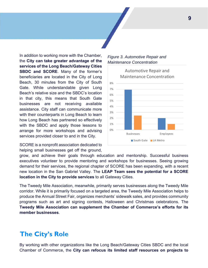In addition to working more with the Chamber, the **City can take greater advantage of the services of the Long Beach/Gateway Cities SBDC and SCORE**. Many of the former's beneficiaries are located in the City of Long Beach, 30 minutes from the City of South Gate. While understandable given Long Beach's relative size and the SBDC's location in that city, this means that South Gate businesses are not receiving available assistance. City staff can communicate more with their counterparts in Long Beach to learn how Long Beach has partnered so effectively with the SBDC and apply those lessons to arrange for more workshops and advising services provided closer to and in the City.

SCORE is a nonprofit association dedicated to helping small businesses get off the ground,

#### *Figure 3. Automotive Repair and Maintenance Concentration*



grow, and achieve their goals through education and mentorship. Successful business executives volunteer to provide mentoring and workshops for businesses. Seeing growing demand for their services, the regional chapter of SCORE has been expanding, with a recent new location in the San Gabriel Valley. The **LEAP Team sees the potential for a SCORE location in the City to provide services** to all Gateway Cities.

The Tweedy Mile Association, meanwhile, primarily serves businesses along the Tweedy Mile corridor. While it is primarily focused on a targeted area, the Tweedy Mile Association helps to produce the Annual Street Fair, organizes merchants' sidewalk sales, and provides community programs such as art and signing contests, Halloween and Christmas celebrations. The **Tweedy Mile Association can supplement the Chamber of Commerce's efforts for its member businesses**.

## **The City's Role**

By working with other organizations like the Long Beach/Gateway Cities SBDC and the local Chamber of Commerce, the **City can refocus its limited staff resources on projects to**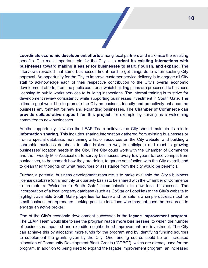**coordinate economic development efforts** among local partners and maximize the resulting benefits. The most important role for the City is to **orient its existing interactions with businesses toward making it easier for businesses to start, flourish, and expand**. The interviews revealed that some businesses find it hard to get things done when seeking City approval. An opportunity for the City to improve customer service delivery is to engage all City staff to acknowledge each of their respective contribution to the City's overall economic development efforts, from the public counter at which building plans are processed to business licensing to public works services to building inspections. The internal training is to strive for development review consistency while supporting businesses investment in South Gate. The ultimate goal would be to promote the City as business friendly and proactively enhance the business environment for new and expanding businesses. The **Chamber of Commerce can provide collaborative support for this project**, for example by serving as a welcoming committee to new businesses.

Another opportunity in which the LEAP Team believes the City should maintain its role is **information sharing**. This includes sharing information gathered from existing businesses or from a special database, maintaining a list of resources on the City website, and building a shareable business database to offer brokers a way to anticipate and react to growing businesses' location needs in the City. The City could work with the Chamber of Commerce and the Tweedy Mile Association to survey businesses every few years to receive input from businesses, to benchmark how they are doing, to gauge satisfaction with the City overall, and to glean their thoughts on what resources or assistance from the city would be beneficial.

Further, a potential business development resource is to make available the City's business license database (on a monthly or quarterly basis) to be shared with the Chamber of Commerce to promote a "Welcome to South Gate" communication to new local businesses. The incorporation of a local property database (such as CoStar or LoopNet) to the City's website to highlight available South Gate properties for lease and for sale is a simple outreach tool for small business entrepreneurs seeking possible locations who may not have the resources to engage an active broker.

One of the City's economic development successes is the **façade improvement program**. The LEAP Team would like to see the program **reach more businesses**, to widen the number of businesses impacted and expedite neighborhood improvement and investment. The City can achieve this by allocating more funds for the program and by identifying funding sources to supplement the grants given by the City. One funding source could be an increased allocation of Community Development Block Grants ("CDBG"), which are already used for the program. In addition to being used to expand the façade improvement program, an increased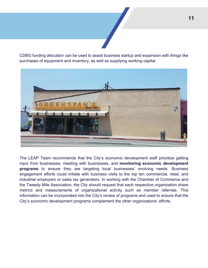CDBG funding allocation can be used to assist business startup and expansion with things like purchases of equipment and inventory, as well as supplying working capital.



The LEAP Team recommends that the City's economic development staff prioritize getting input from businesses, meeting with businesses, and **monitoring economic development programs** to ensure they are targeting local businesses' evolving needs. Business engagement efforts could initiate with business visits to the top ten commercial, retail, and industrial employers or sales tax generators. In working with the Chamber of Commerce and the Tweedy Mile Association, the City should request that each respective organization share metrics and measurements of organizational activity such as member referrals. This information can be incorporated into the City's review of programs and used to ensure that the City's economic development programs complement the other organizations' efforts.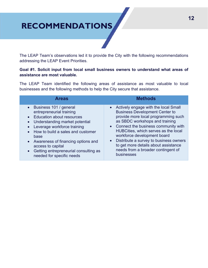# **RECOMMENDATIONS**

The LEAP Team's observations led it to provide the City with the following recommendations addressing the LEAP Event Priorities.

#### **Goal #1. Solicit input from local small business owners to understand what areas of assistance are most valuable.**

The LEAP Team identified the following areas of assistance as most valuable to local businesses and the following methods to help the City secure that assistance.

| <b>Areas</b>                                                                                                                                                                                                                                                                                                                                                                                  | <b>Methods</b>                                                                                                                                                                                                                                                                                                                                                                                                                         |
|-----------------------------------------------------------------------------------------------------------------------------------------------------------------------------------------------------------------------------------------------------------------------------------------------------------------------------------------------------------------------------------------------|----------------------------------------------------------------------------------------------------------------------------------------------------------------------------------------------------------------------------------------------------------------------------------------------------------------------------------------------------------------------------------------------------------------------------------------|
| • Business 101 / general<br>entrepreneurial training<br><b>Education about resources</b><br>$\bullet$<br>Understanding market potential<br>$\bullet$<br>Leverage workforce training<br>How to build a sales and customer<br>$\bullet$<br>base<br>• Awareness of financing options and<br>access to capital<br>Getting entrepreneurial consulting as<br>$\bullet$<br>needed for specific needs | Actively engage with the local Small<br>$\bullet$<br><b>Business Development Center to</b><br>provide more local programming such<br>as SBDC workshops and training<br>• Connect the business community with<br>HUBCities, which serves as the local<br>workforce development board<br>Distribute a survey to business owners<br>$\bullet$<br>to get more details about assistance<br>needs from a broader contingent of<br>businesses |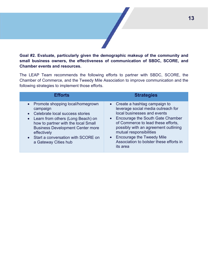#### **Goal #2. Evaluate, particularly given the demographic makeup of the community and small business owners, the effectiveness of communication of SBDC, SCORE, and Chamber events and resources.**

The LEAP Team recommends the following efforts to partner with SBDC, SCORE, the Chamber of Commerce, and the Tweedy Mile Association to improve communication and the following strategies to implement those efforts.

| <b>Efforts</b>                                                                                                                                                                                                                                                                                       | <b>Strategies</b>                                                                                                                                                                                                                                                                                                                                                     |
|------------------------------------------------------------------------------------------------------------------------------------------------------------------------------------------------------------------------------------------------------------------------------------------------------|-----------------------------------------------------------------------------------------------------------------------------------------------------------------------------------------------------------------------------------------------------------------------------------------------------------------------------------------------------------------------|
| • Promote shopping local/homegrown<br>campaign<br>Celebrate local success stories<br>Learn from others (Long Beach) on<br>$\bullet$<br>how to partner with the local Small<br><b>Business Development Center more</b><br>effectively<br>• Start a conversation with SCORE on<br>a Gateway Cities hub | • Create a hashtag campaign to<br>leverage social media outreach for<br>local businesses and events<br>Encourage the South Gate Chamber<br>$\bullet$<br>of Commerce to lead these efforts,<br>possibly with an agreement outlining<br>mutual responsibilities<br><b>Encourage the Tweedy Mile</b><br>$\bullet$<br>Association to bolster these efforts in<br>its area |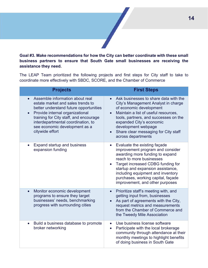**Goal #3. Make recommendations for how the City can better coordinate with these small business partners to ensure that South Gate small businesses are receiving the assistance they need.** 

The LEAP Team prioritized the following projects and first steps for City staff to take to coordinate more effectively with SBDC, SCORE, and the Chamber of Commerce

| <b>Projects</b>                                                                                                                                                                                                                                                                       | <b>First Steps</b>                                                                                                                                                                                                                                                                                                                               |
|---------------------------------------------------------------------------------------------------------------------------------------------------------------------------------------------------------------------------------------------------------------------------------------|--------------------------------------------------------------------------------------------------------------------------------------------------------------------------------------------------------------------------------------------------------------------------------------------------------------------------------------------------|
| Assemble information about real<br>estate market and sales trends to<br>better understand future opportunities<br>Provide internal organizational<br>training for City staff, and encourage<br>interdepartmental coordination, to<br>see economic development as a<br>citywide effort | Ask businesses to share data with the<br>$\bullet$<br>City's Management Analyst in charge<br>of economic development<br>Maintain a list of useful resources,<br>$\bullet$<br>tools, partners, and successes on the<br>expanded City's economic<br>development webpage<br>Share clear messaging for City staff<br>$\bullet$<br>across departments |
| <b>Expand startup and business</b><br>expansion funding                                                                                                                                                                                                                               | Evaluate the existing façade<br>$\bullet$<br>improvement program and consider<br>awarding more funding to expand<br>reach to more businesses<br>Target increased CDBG funding for<br>startup and expansion assistance,<br>including equipment and inventory<br>purchases, working capital, façade<br>improvement, and other purposes             |
| Monitor economic development<br>programs to ensure they target<br>businesses' needs, benchmarking<br>progress with surrounding cities                                                                                                                                                 | Prioritize staff's meeting with, and<br>getting input from, businesses<br>As part of agreements with the City,<br>request metrics and measurements<br>from the Chamber of Commerce and<br>the Tweedy Mile Association                                                                                                                            |
| Build a business database to promote<br>$\bullet$<br>broker networking                                                                                                                                                                                                                | Use business license software<br>Participate with the local brokerage<br>$\bullet$<br>community through attendance at their<br>monthly meetings to highlight benefits<br>of doing business in South Gate                                                                                                                                         |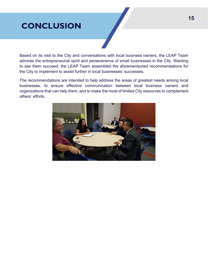# **CONCLUSION**

Based on its visit to the City and conversations with local business owners, the LEAP Team admires the entrepreneurial spirit and perseverance of small businesses in the City. Wanting to see them succeed, the LEAP Team assembled the aforementioned recommendations for the City to implement to assist further in local businesses' successes.

The recommendations are intended to help address the areas of greatest needs among local businesses, to ensure effective communication between local business owners and organizations that can help them, and to make the most of limited City resources to complement others' efforts.

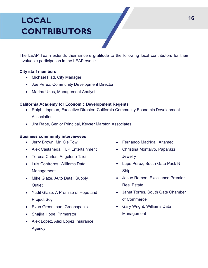# **LOCAL CONTRIBUTORS**

The LEAP Team extends their sincere gratitude to the following local contributors for their invaluable participation in the LEAP event:

#### **City staff members**

- Michael Flad, City Manager
- Joe Perez, Community Development Director
- Marina Urias, Management Analyst

#### **California Academy for Economic Development Regents**

- Ralph Lippman, Executive Director, California Community Economic Development **Association**
- Jim Rabe, Senior Principal, Keyser Marston Associates

#### **Business community interviewees**

- Jerry Brown, Mr. C's Tow
- Alex Castaneda, TLP Entertainment
- Teresa Carlos, Angeleno Taxi
- Luis Contreras, Williams Data Management
- Mike Glaze, Auto Detail Supply **Outlet**
- Yudit Glaze, A Promise of Hope and Project Soy
- Evan Greenspan, Greenspan's
- Shajira Hope, Primerstor
- Alex Lopez, Alex Lopez Insurance Agency
- Fernando Madrigal, Altamed
- Christina Montalvo, Paparazzi **Jewelry**
- Lupe Perez, South Gate Pack N Ship
- Josue Ramon, Excellence Premier Real Estate
- Janet Torres, South Gate Chamber of Commerce
- Gary Wright, Williams Data Management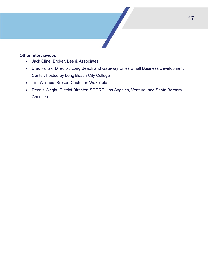#### **Other interviewees**

- Jack Cline, Broker, Lee & Associates
- Brad Pollak, Director, Long Beach and Gateway Cities Small Business Development Center, hosted by Long Beach City College
- Tim Wallace, Broker, Cushman Wakefield
- Dennis Wright, District Director, SCORE, Los Angeles, Ventura, and Santa Barbara **Counties**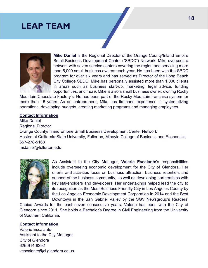## **LEAP TEAM**



**Mike Daniel** is the Regional Director of the Orange County/Inland Empire Small Business Development Center ("SBDC") Network. Mike oversees a network with seven service centers covering the region and servicing more than 5,000 small business owners each year. He has been with the SBDC program for over six years and has served as Director of the Long Beach City College SBDC. Mike has personally assisted more than 1,000 clients in areas such as business start-up, marketing, legal advice, funding opportunities, and more. Mike is also a small business owner, owning Rocky

Mountain Chocolate Factory's. He has been part of the Rocky Mountain franchise system for more than 15 years. As an entrepreneur, Mike has firsthand experience in systematizing operations, developing budgets, creating marketing programs and managing employees.

#### **Contact Information**

Mike Daniel Regional Director Orange County/Inland Empire Small Business Development Center Network Hosted at California State University, Fullerton, Mihaylo College of Business and Economics 657-278-5168 midaniel@fullerton.edu



As Assistant to the City Manager, **Valerie Escalante**'s responsibilities include overseeing economic development for the City of Glendora. Her efforts and activities focus on business attraction, business retention, and support of the business community, as well as developing partnerships with key stakeholders and developers. Her undertakings helped lead the city to its recognition as the Most Business Friendly City in Los Angeles County by the Los Angeles Economic Development Corporation in 2014 and the Best Downtown in the San Gabriel Valley by the SGV Newsgroup's Readers'

Choice Awards for the past seven consecutive years. Valerie has been with the City of Glendora since 2011. She holds a Bachelor's Degree in Civil Engineering from the University of Southern California.

#### **Contact Information**

Valerie Escalante Assistant to the City Manager City of Glendora 626-914-8292 vescalante@ci.glendora.ca.us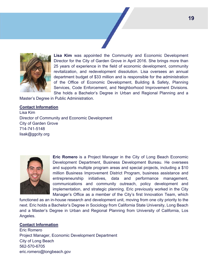

**Lisa Kim** was appointed the Community and Economic Development Director for the City of Garden Grove in April 2016. She brings more than 25 years of experience in the field of economic development, community revitalization, and redevelopment dissolution. Lisa oversees an annual department budget of \$33 million and is responsible for the administration of the Office of Economic Development, Building & Safety, Planning Services, Code Enforcement, and Neighborhood Improvement Divisions. She holds a Bachelor's Degree in Urban and Regional Planning and a

Master's Degree in Public Administration.

#### **Contact Information**

Lisa Kim Director of Community and Economic Development City of Garden Grove 714-741-5148 lisak@ggcity.org



**Eric Romero** is a Project Manager in the City of Long Beach Economic Development Department, Business Development Bureau. He oversees and supports multiple program areas and special projects, including a \$10 million Business Improvement District Program, business assistance and entrepreneurship initiatives, data and performance management, communications and community outreach, policy development and implementation, and strategic planning. Eric previously worked in the City Manager's Office as a member of the City's first Innovation Team, which

functioned as an in-house research and development unit, moving from one city priority to the next. Eric holds a Bachelor's Degree in Sociology from California State University, Long Beach and a Master's Degree in Urban and Regional Planning from University of California, Los Angeles.

#### **Contact Information**

Eric Romero Project Manager, Economic Development Department City of Long Beach 562-570-6705 eric.romero@longbeach.gov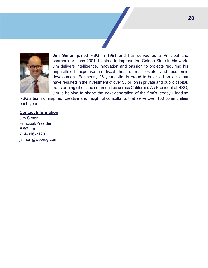

**Jim Simon** joined RSG in 1991 and has served as a Principal and shareholder since 2001. Inspired to improve the Golden State in his work, Jim delivers intelligence, innovation and passion to projects requiring his unparalleled expertise in fiscal health, real estate and economic development. For nearly 25 years, Jim is proud to have led projects that have resulted in the investment of over \$3 billion in private and public capital, transforming cities and communities across California. As President of RSG, Jim is helping to shape the next generation of the firm's legacy - leading

RSG's team of inspired, creative and insightful consultants that serve over 100 communities each year.

#### **Contact Information**

Jim Simon Principal/President RSG, Inc. 714-316-2120 jsimon@webrsg.com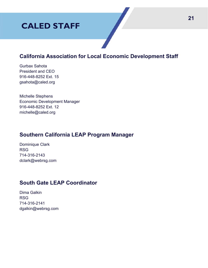# **CALED STAFF**

## **California Association for Local Economic Development Staff**

Gurbax Sahota President and CEO 916-448-8252 Ext. 15 gsahota@caled.org

Michelle Stephens Economic Development Manager 916-448-8252 Ext. 12 michelle@caled.org

## **Southern California LEAP Program Manager**

Dominique Clark RSG 714-316-2143 dclark@webrsg.com

## **South Gate LEAP Coordinator**

Dima Galkin RSG 714-316-2141 dgalkin@webrsg.com